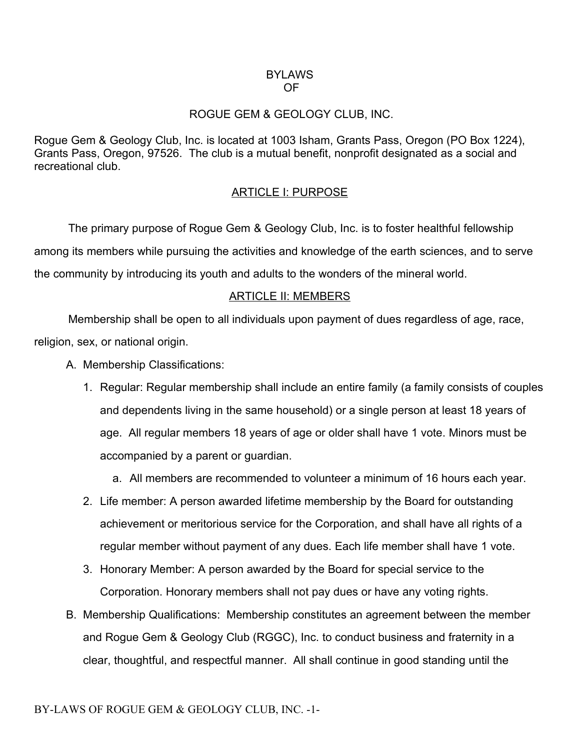#### **BYLAWS** OF

## ROGUE GEM & GEOLOGY CLUB, INC.

Rogue Gem & Geology Club, Inc. is located at 1003 Isham, Grants Pass, Oregon (PO Box 1224), Grants Pass, Oregon, 97526. The club is a mutual benefit, nonprofit designated as a social and recreational club.

## ARTICLE I: PURPOSE

The primary purpose of Rogue Gem & Geology Club, Inc. is to foster healthful fellowship among its members while pursuing the activities and knowledge of the earth sciences, and to serve the community by introducing its youth and adults to the wonders of the mineral world.

## ARTICLE II: MEMBERS

Membership shall be open to all individuals upon payment of dues regardless of age, race, religion, sex, or national origin.

- A. Membership Classifications:
	- 1. Regular: Regular membership shall include an entire family (a family consists of couples and dependents living in the same household) or a single person at least 18 years of age. All regular members 18 years of age or older shall have 1 vote. Minors must be accompanied by a parent or guardian.
		- a. All members are recommended to volunteer a minimum of 16 hours each year.
	- 2. Life member: A person awarded lifetime membership by the Board for outstanding achievement or meritorious service for the Corporation, and shall have all rights of a regular member without payment of any dues. Each life member shall have 1 vote.
	- 3. Honorary Member: A person awarded by the Board for special service to the Corporation. Honorary members shall not pay dues or have any voting rights.
- B. Membership Qualifications: Membership constitutes an agreement between the member and Rogue Gem & Geology Club (RGGC), Inc. to conduct business and fraternity in a clear, thoughtful, and respectful manner. All shall continue in good standing until the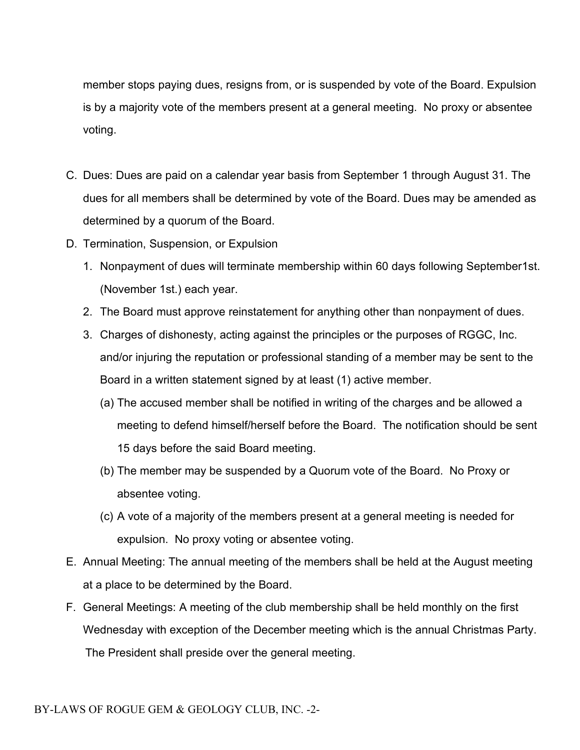member stops paying dues, resigns from, or is suspended by vote of the Board. Expulsion is by a majority vote of the members present at a general meeting. No proxy or absentee voting.

- C. Dues: Dues are paid on a calendar year basis from September 1 through August 31. The dues for all members shall be determined by vote of the Board. Dues may be amended as determined by a quorum of the Board.
- D. Termination, Suspension, or Expulsion
	- 1. Nonpayment of dues will terminate membership within 60 days following September1st. (November 1st.) each year.
	- 2. The Board must approve reinstatement for anything other than nonpayment of dues.
	- 3. Charges of dishonesty, acting against the principles or the purposes of RGGC, Inc. and/or injuring the reputation or professional standing of a member may be sent to the Board in a written statement signed by at least (1) active member.
		- (a) The accused member shall be notified in writing of the charges and be allowed a meeting to defend himself/herself before the Board. The notification should be sent 15 days before the said Board meeting.
		- (b) The member may be suspended by a Quorum vote of the Board. No Proxy or absentee voting.
		- (c) A vote of a majority of the members present at a general meeting is needed for expulsion. No proxy voting or absentee voting.
- E. Annual Meeting: The annual meeting of the members shall be held at the August meeting at a place to be determined by the Board.
- F. General Meetings: A meeting of the club membership shall be held monthly on the first Wednesday with exception of the December meeting which is the annual Christmas Party. The President shall preside over the general meeting.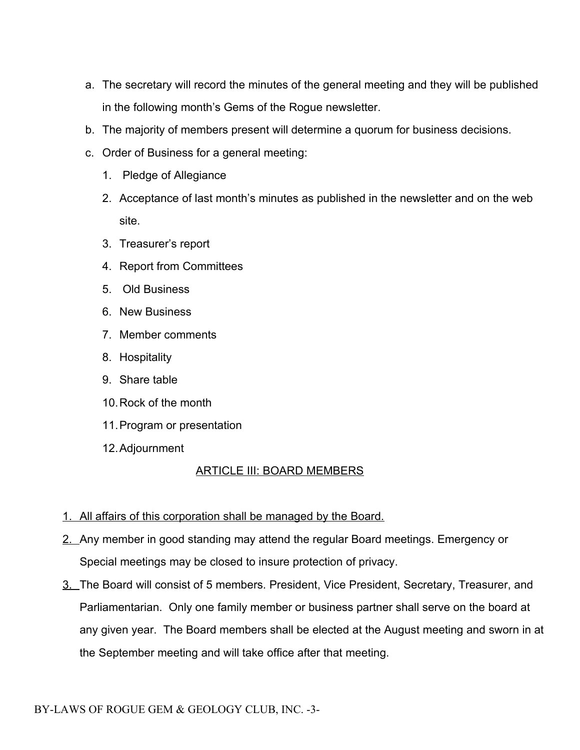- a. The secretary will record the minutes of the general meeting and they will be published in the following month's Gems of the Rogue newsletter.
- b. The majority of members present will determine a quorum for business decisions.
- c. Order of Business for a general meeting:
	- 1. Pledge of Allegiance
	- 2. Acceptance of last month's minutes as published in the newsletter and on the web site.
	- 3. Treasurer's report
	- 4. Report from Committees
	- 5. Old Business
	- 6. New Business
	- 7. Member comments
	- 8. Hospitality
	- 9. Share table
	- 10.Rock of the month
	- 11.Program or presentation
	- 12.Adjournment

# ARTICLE III: BOARD MEMBERS

- 1. All affairs of this corporation shall be managed by the Board.
- 2. Any member in good standing may attend the regular Board meetings. Emergency or Special meetings may be closed to insure protection of privacy.
- 3. The Board will consist of 5 members. President, Vice President, Secretary, Treasurer, and Parliamentarian. Only one family member or business partner shall serve on the board at any given year. The Board members shall be elected at the August meeting and sworn in at the September meeting and will take office after that meeting.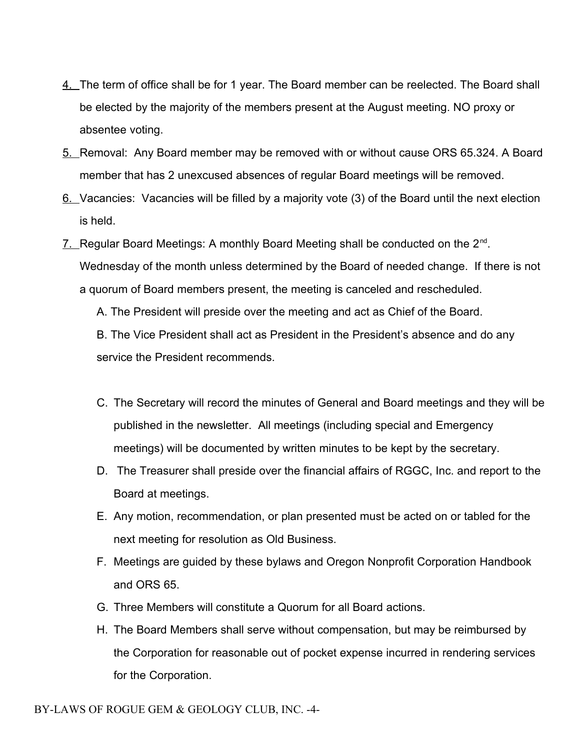- 4. The term of office shall be for 1 year. The Board member can be reelected. The Board shall be elected by the majority of the members present at the August meeting. NO proxy or absentee voting.
- 5. Removal: Any Board member may be removed with or without cause ORS 65.324. A Board member that has 2 unexcused absences of regular Board meetings will be removed.
- 6. Vacancies: Vacancies will be filled by a majority vote (3) of the Board until the next election is held.
- 7. Regular Board Meetings: A monthly Board Meeting shall be conducted on the 2<sup>nd</sup>. Wednesday of the month unless determined by the Board of needed change. If there is not a quorum of Board members present, the meeting is canceled and rescheduled.

A. The President will preside over the meeting and act as Chief of the Board.

B. The Vice President shall act as President in the President's absence and do any service the President recommends.

- C. The Secretary will record the minutes of General and Board meetings and they will be published in the newsletter. All meetings (including special and Emergency meetings) will be documented by written minutes to be kept by the secretary.
- D. The Treasurer shall preside over the financial affairs of RGGC, Inc. and report to the Board at meetings.
- E. Any motion, recommendation, or plan presented must be acted on or tabled for the next meeting for resolution as Old Business.
- F. Meetings are guided by these bylaws and Oregon Nonprofit Corporation Handbook and ORS 65.
- G. Three Members will constitute a Quorum for all Board actions.
- H. The Board Members shall serve without compensation, but may be reimbursed by the Corporation for reasonable out of pocket expense incurred in rendering services for the Corporation.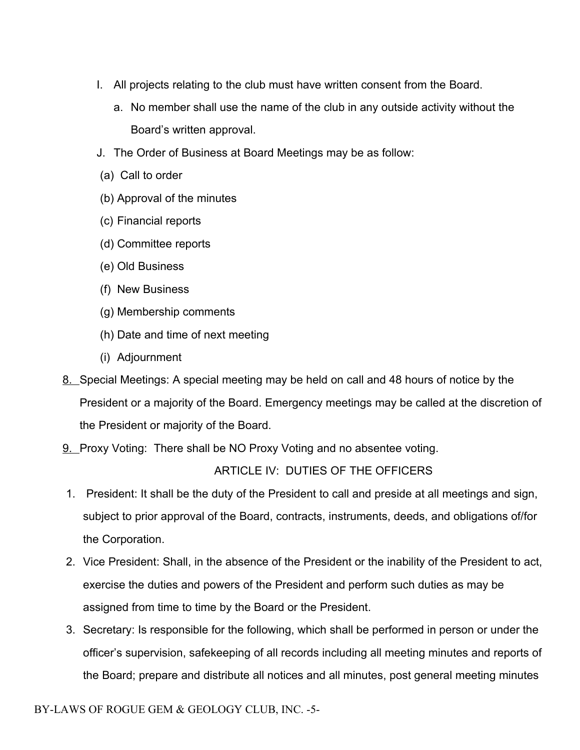- I. All projects relating to the club must have written consent from the Board.
	- a. No member shall use the name of the club in any outside activity without the Board's written approval.
- J. The Order of Business at Board Meetings may be as follow:
- (a) Call to order
- (b) Approval of the minutes
- (c) Financial reports
- (d) Committee reports
- (e) Old Business
- (f) New Business
- (g) Membership comments
- (h) Date and time of next meeting
- (i) Adjournment
- 8. Special Meetings: A special meeting may be held on call and 48 hours of notice by the President or a majority of the Board. Emergency meetings may be called at the discretion of the President or majority of the Board.
- 9. Proxy Voting: There shall be NO Proxy Voting and no absentee voting.

# ARTICLE IV: DUTIES OF THE OFFICERS

- 1. President: It shall be the duty of the President to call and preside at all meetings and sign, subject to prior approval of the Board, contracts, instruments, deeds, and obligations of/for the Corporation.
- 2. Vice President: Shall, in the absence of the President or the inability of the President to act, exercise the duties and powers of the President and perform such duties as may be assigned from time to time by the Board or the President.
- 3. Secretary: Is responsible for the following, which shall be performed in person or under the officer's supervision, safekeeping of all records including all meeting minutes and reports of the Board; prepare and distribute all notices and all minutes, post general meeting minutes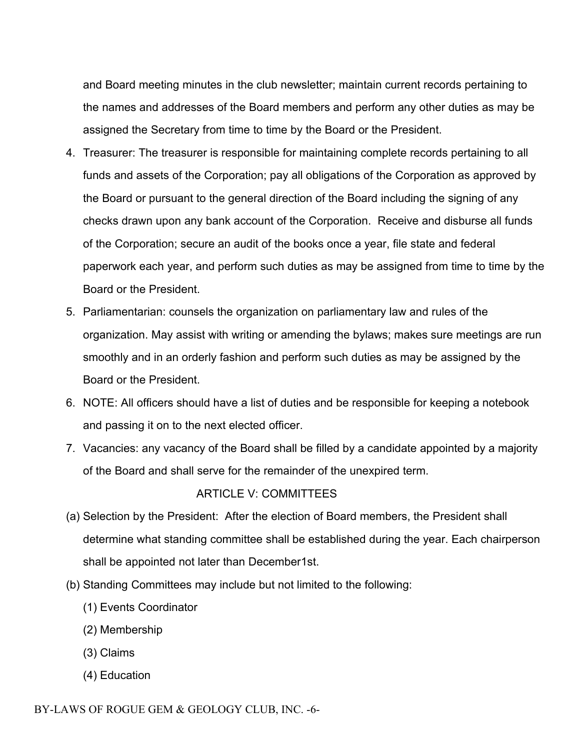and Board meeting minutes in the club newsletter; maintain current records pertaining to the names and addresses of the Board members and perform any other duties as may be assigned the Secretary from time to time by the Board or the President.

- 4. Treasurer: The treasurer is responsible for maintaining complete records pertaining to all funds and assets of the Corporation; pay all obligations of the Corporation as approved by the Board or pursuant to the general direction of the Board including the signing of any checks drawn upon any bank account of the Corporation. Receive and disburse all funds of the Corporation; secure an audit of the books once a year, file state and federal paperwork each year, and perform such duties as may be assigned from time to time by the Board or the President.
- 5. Parliamentarian: counsels the organization on parliamentary law and rules of the organization. May assist with writing or amending the bylaws; makes sure meetings are run smoothly and in an orderly fashion and perform such duties as may be assigned by the Board or the President.
- 6. NOTE: All officers should have a list of duties and be responsible for keeping a notebook and passing it on to the next elected officer.
- 7. Vacancies: any vacancy of the Board shall be filled by a candidate appointed by a majority of the Board and shall serve for the remainder of the unexpired term.

## ARTICLE V: COMMITTEES

- (a) Selection by the President: After the election of Board members, the President shall determine what standing committee shall be established during the year. Each chairperson shall be appointed not later than December1st.
- (b) Standing Committees may include but not limited to the following:
	- (1) Events Coordinator
	- (2) Membership
	- (3) Claims
	- (4) Education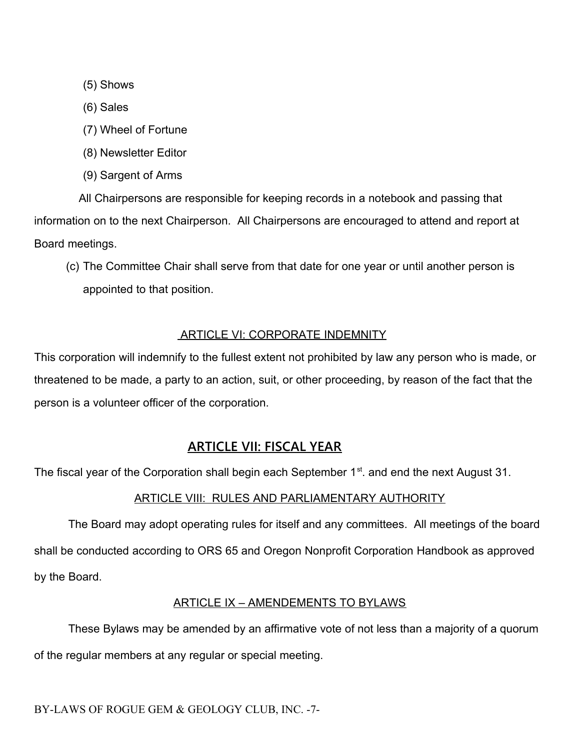(5) Shows

(6) Sales

- (7) Wheel of Fortune
- (8) Newsletter Editor
- (9) Sargent of Arms

 All Chairpersons are responsible for keeping records in a notebook and passing that information on to the next Chairperson. All Chairpersons are encouraged to attend and report at Board meetings.

(c) The Committee Chair shall serve from that date for one year or until another person is appointed to that position.

## ARTICLE VI: CORPORATE INDEMNITY

This corporation will indemnify to the fullest extent not prohibited by law any person who is made, or threatened to be made, a party to an action, suit, or other proceeding, by reason of the fact that the person is a volunteer officer of the corporation.

# **ARTICLE VII: FISCAL YEAR**

The fiscal year of the Corporation shall begin each September 1<sup>st</sup>. and end the next August 31.

## ARTICLE VIII: RULES AND PARLIAMENTARY AUTHORITY

The Board may adopt operating rules for itself and any committees. All meetings of the board shall be conducted according to ORS 65 and Oregon Nonprofit Corporation Handbook as approved by the Board.

## ARTICLE IX – AMENDEMENTS TO BYLAWS

These Bylaws may be amended by an affirmative vote of not less than a majority of a quorum of the regular members at any regular or special meeting.